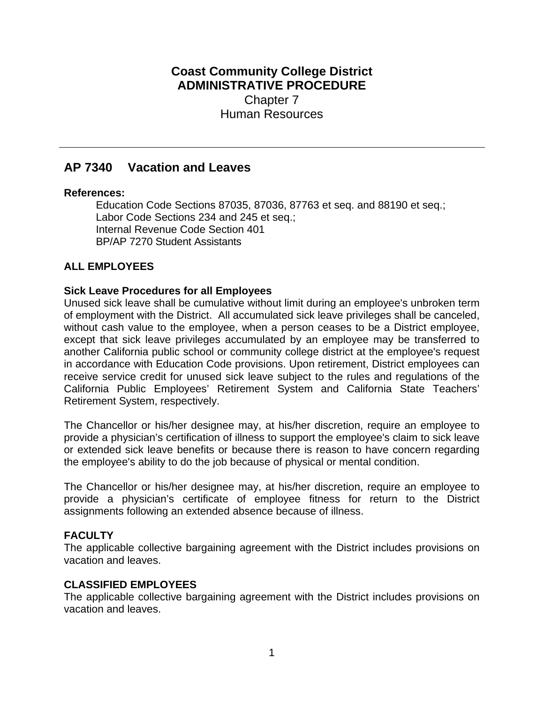# **Coast Community College District ADMINISTRATIVE PROCEDURE** Chapter 7 Human Resources

# **AP 7340 Vacation and Leaves**

### **References:**

Education Code Sections 87035, 87036, 87763 et seq. and 88190 et seq.; Labor Code Sections 234 and 245 et seq.; Internal Revenue Code Section 401 BP/AP 7270 Student Assistants

# **ALL EMPLOYEES**

# **Sick Leave Procedures for all Employees**

Unused sick leave shall be cumulative without limit during an employee's unbroken term of employment with the District. All accumulated sick leave privileges shall be canceled, without cash value to the employee, when a person ceases to be a District employee, except that sick leave privileges accumulated by an employee may be transferred to another California public school or community college district at the employee's request in accordance with Education Code provisions. Upon retirement, District employees can receive service credit for unused sick leave subject to the rules and regulations of the California Public Employees' Retirement System and California State Teachers' Retirement System, respectively.

The Chancellor or his/her designee may, at his/her discretion, require an employee to provide a physician's certification of illness to support the employee's claim to sick leave or extended sick leave benefits or because there is reason to have concern regarding the employee's ability to do the job because of physical or mental condition.

The Chancellor or his/her designee may, at his/her discretion, require an employee to provide a physician's certificate of employee fitness for return to the District assignments following an extended absence because of illness.

# **FACULTY**

The applicable collective bargaining agreement with the District includes provisions on vacation and leaves.

# **CLASSIFIED EMPLOYEES**

The applicable collective bargaining agreement with the District includes provisions on vacation and leaves.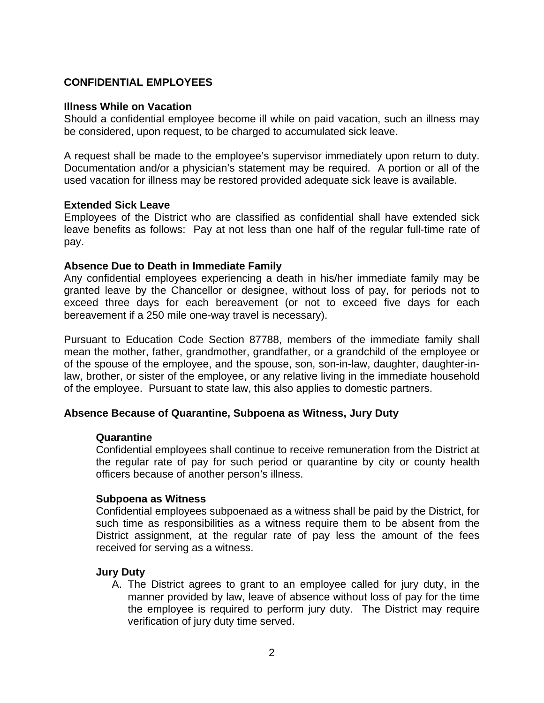# **CONFIDENTIAL EMPLOYEES**

### **Illness While on Vacation**

Should a confidential employee become ill while on paid vacation, such an illness may be considered, upon request, to be charged to accumulated sick leave.

A request shall be made to the employee's supervisor immediately upon return to duty. Documentation and/or a physician's statement may be required. A portion or all of the used vacation for illness may be restored provided adequate sick leave is available.

#### **Extended Sick Leave**

Employees of the District who are classified as confidential shall have extended sick leave benefits as follows: Pay at not less than one half of the regular full-time rate of pay.

### **Absence Due to Death in Immediate Family**

Any confidential employees experiencing a death in his/her immediate family may be granted leave by the Chancellor or designee, without loss of pay, for periods not to exceed three days for each bereavement (or not to exceed five days for each bereavement if a 250 mile one-way travel is necessary).

Pursuant to Education Code Section 87788, members of the immediate family shall mean the mother, father, grandmother, grandfather, or a grandchild of the employee or of the spouse of the employee, and the spouse, son, son-in-law, daughter, daughter-inlaw, brother, or sister of the employee, or any relative living in the immediate household of the employee. Pursuant to state law, this also applies to domestic partners.

### **Absence Because of Quarantine, Subpoena as Witness, Jury Duty**

#### **Quarantine**

Confidential employees shall continue to receive remuneration from the District at the regular rate of pay for such period or quarantine by city or county health officers because of another person's illness.

#### **Subpoena as Witness**

Confidential employees subpoenaed as a witness shall be paid by the District, for such time as responsibilities as a witness require them to be absent from the District assignment, at the regular rate of pay less the amount of the fees received for serving as a witness.

#### **Jury Duty**

A. The District agrees to grant to an employee called for jury duty, in the manner provided by law, leave of absence without loss of pay for the time the employee is required to perform jury duty. The District may require verification of jury duty time served.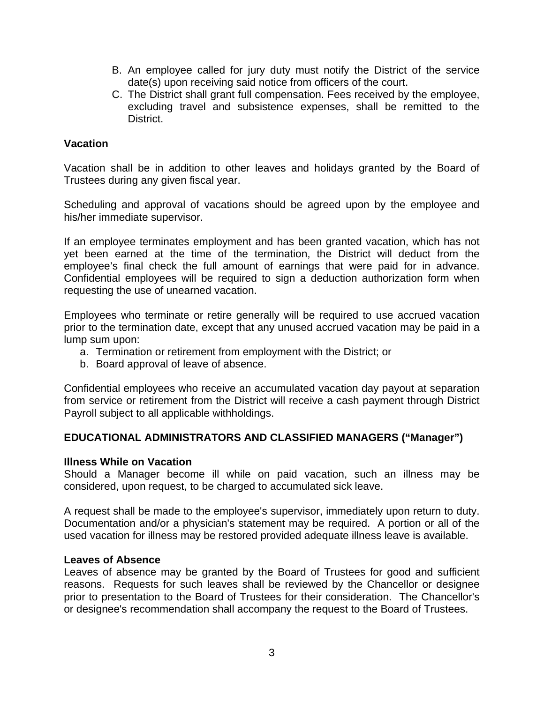- B. An employee called for jury duty must notify the District of the service date(s) upon receiving said notice from officers of the court.
- C. The District shall grant full compensation. Fees received by the employee, excluding travel and subsistence expenses, shall be remitted to the District.

### **Vacation**

Vacation shall be in addition to other leaves and holidays granted by the Board of Trustees during any given fiscal year.

Scheduling and approval of vacations should be agreed upon by the employee and his/her immediate supervisor.

If an employee terminates employment and has been granted vacation, which has not yet been earned at the time of the termination, the District will deduct from the employee's final check the full amount of earnings that were paid for in advance. Confidential employees will be required to sign a deduction authorization form when requesting the use of unearned vacation.

Employees who terminate or retire generally will be required to use accrued vacation prior to the termination date, except that any unused accrued vacation may be paid in a lump sum upon:

- a. Termination or retirement from employment with the District; or
- b. Board approval of leave of absence.

Confidential employees who receive an accumulated vacation day payout at separation from service or retirement from the District will receive a cash payment through District Payroll subject to all applicable withholdings.

# **EDUCATIONAL ADMINISTRATORS AND CLASSIFIED MANAGERS ("Manager")**

### **Illness While on Vacation**

Should a Manager become ill while on paid vacation, such an illness may be considered, upon request, to be charged to accumulated sick leave.

A request shall be made to the employee's supervisor, immediately upon return to duty. Documentation and/or a physician's statement may be required. A portion or all of the used vacation for illness may be restored provided adequate illness leave is available.

#### **Leaves of Absence**

Leaves of absence may be granted by the Board of Trustees for good and sufficient reasons. Requests for such leaves shall be reviewed by the Chancellor or designee prior to presentation to the Board of Trustees for their consideration. The Chancellor's or designee's recommendation shall accompany the request to the Board of Trustees.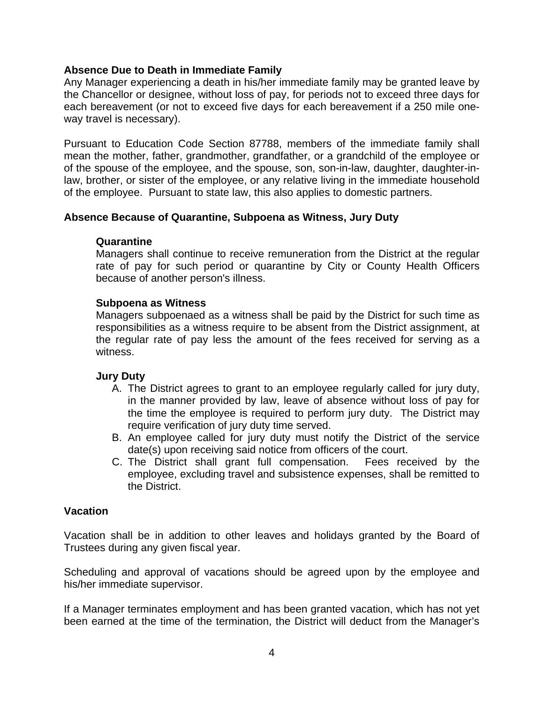# **Absence Due to Death in Immediate Family**

Any Manager experiencing a death in his/her immediate family may be granted leave by the Chancellor or designee, without loss of pay, for periods not to exceed three days for each bereavement (or not to exceed five days for each bereavement if a 250 mile oneway travel is necessary).

Pursuant to Education Code Section 87788, members of the immediate family shall mean the mother, father, grandmother, grandfather, or a grandchild of the employee or of the spouse of the employee, and the spouse, son, son-in-law, daughter, daughter-inlaw, brother, or sister of the employee, or any relative living in the immediate household of the employee. Pursuant to state law, this also applies to domestic partners.

# **Absence Because of Quarantine, Subpoena as Witness, Jury Duty**

### **Quarantine**

Managers shall continue to receive remuneration from the District at the regular rate of pay for such period or quarantine by City or County Health Officers because of another person's illness.

### **Subpoena as Witness**

Managers subpoenaed as a witness shall be paid by the District for such time as responsibilities as a witness require to be absent from the District assignment, at the regular rate of pay less the amount of the fees received for serving as a witness.

# **Jury Duty**

- A. The District agrees to grant to an employee regularly called for jury duty, in the manner provided by law, leave of absence without loss of pay for the time the employee is required to perform jury duty. The District may require verification of jury duty time served.
- B. An employee called for jury duty must notify the District of the service date(s) upon receiving said notice from officers of the court.
- C. The District shall grant full compensation. Fees received by the employee, excluding travel and subsistence expenses, shall be remitted to the District.

# **Vacation**

Vacation shall be in addition to other leaves and holidays granted by the Board of Trustees during any given fiscal year.

Scheduling and approval of vacations should be agreed upon by the employee and his/her immediate supervisor.

If a Manager terminates employment and has been granted vacation, which has not yet been earned at the time of the termination, the District will deduct from the Manager's